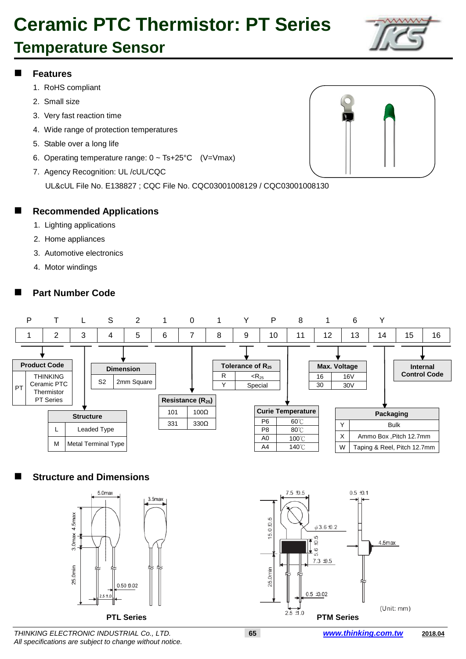### **Temperature Sensor**

#### **Features**

- 1. RoHS compliant
- 2. Small size
- 3. Very fast reaction time
- 4. Wide range of protection temperatures
- 5. Stable over a long life
- 6. Operating temperature range: 0 ~ Ts+25°C (V=Vmax)
- 7. Agency Recognition: UL /cUL/CQC

UL&cUL File No. E138827 ; CQC File No. CQC03001008129 / CQC03001008130



#### **Recommended Applications**

- 1. Lighting applications
- 2. Home appliances
- 3. Automotive electronics
- 4. Motor windings

### **Part Number Code**



### **Structure and Dimensions**





*THINKING ELECTRONIC INDUSTRIAL Co., LTD.* **65** *www.thinking.com.tw* **2018.04** *All specifications are subject to change without notice.*

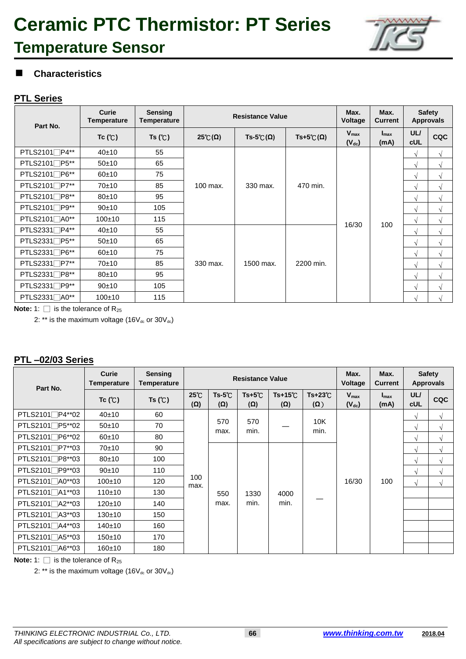## **Ceramic PTC Thermistor: PT Series Temperature Sensor**



### **Characteristics**

#### **PTL Series**

| Part No.          | Curie<br><b>Temperature</b> | <b>Sensing</b><br>Temperature | <b>Resistance Value</b> | Max.<br>Voltage    | Max.<br><b>Current</b>    |                         | <b>Safety</b><br><b>Approvals</b> |                          |            |
|-------------------|-----------------------------|-------------------------------|-------------------------|--------------------|---------------------------|-------------------------|-----------------------------------|--------------------------|------------|
|                   | Tc (°C)                     | Ts $(C)$                      | $25^{\circ}C(\Omega)$   | Ts-5°C( $\Omega$ ) | $Ts+5\mathcal{C}(\Omega)$ | $V_{max}$<br>$(V_{dc})$ | $I_{\text{max}}$<br>(mA)          | <b>UL/</b><br><b>cUL</b> | <b>CQC</b> |
| PTLS2101∏P4**     | 40±10                       | 55                            |                         |                    |                           |                         |                                   | $\sqrt{ }$               | $\sqrt{ }$ |
| PTLS2101∏P5**     | 50±10                       | 65                            |                         |                    |                           |                         |                                   | $\sqrt{ }$               | $\sqrt{ }$ |
| PTLS2101∏P6**     | 60±10                       | 75                            |                         |                    | 470 min.                  | 16/30                   | 100                               | $\sqrt{ }$               | $\sqrt{ }$ |
| PTLS2101∏P7**     | 70±10                       | 85                            | 100 max.                | 330 max.           |                           |                         |                                   | $\sqrt{}$                | $\sqrt{ }$ |
| PTLS2101∏P8**     | $80+10$                     | 95                            |                         |                    |                           |                         |                                   | $\sqrt{ }$               | $\sqrt{ }$ |
| PTLS2101∏P9**     | 90±10                       | 105                           |                         |                    |                           |                         |                                   | $\sqrt{ }$               | $\sqrt{ }$ |
| PTLS2101□A0**     | 100±10                      | 115                           |                         |                    |                           |                         |                                   | V                        | $\sqrt{ }$ |
| PTLS2331□P4**     | 40±10                       | 55                            | 330 max.                |                    | 2200 min.                 |                         |                                   | V                        | $\sqrt{ }$ |
| PTLS2331∏P5**     | 50±10                       | 65                            |                         |                    |                           |                         |                                   | $\sqrt{ }$               | $\sqrt{ }$ |
| $PTLS2331$ $P6**$ | $60+10$                     | 75                            |                         |                    |                           |                         |                                   | $\sqrt{ }$               | $\sqrt{ }$ |
| PTLS2331∏P7**     | 70±10                       | 85                            |                         | 1500 max.          |                           |                         |                                   | $\sqrt{ }$               | $\sqrt{ }$ |
| PTLS2331∏P8**     | $80+10$                     | 95                            |                         |                    |                           |                         |                                   | $\sqrt{ }$               | $\sqrt{ }$ |
| $PTLS2331$ $P9**$ | 90±10                       | 105                           |                         |                    |                           |                         |                                   | V                        | $\sqrt{ }$ |
| PTLS2331∏A0**     | $100+10$                    | 115                           |                         |                    |                           |                         |                                   | V                        | √          |

**Note:** 1:  $\Box$  is the tolerance of R<sub>25</sub>

2: \*\* is the maximum voltage (16 $V_{dc}$  or 30 $V_{dc}$ )

#### **PTL –02/03 Series**

| Part No.        | <b>Curie</b><br>Temperature | <b>Sensing</b><br>Temperature | <b>Resistance Value</b>    |                               |                               | Max.<br>Voltage                | Max.<br><b>Current</b>        |                                | <b>Safety</b><br><b>Approvals</b> |                          |            |            |               |  |  |       |     |            |            |
|-----------------|-----------------------------|-------------------------------|----------------------------|-------------------------------|-------------------------------|--------------------------------|-------------------------------|--------------------------------|-----------------------------------|--------------------------|------------|------------|---------------|--|--|-------|-----|------------|------------|
|                 | $Tc$ ( $C$ )                | Ts $(C)$                      | $25^{\circ}$<br>$(\Omega)$ | $Ts-5^{\circ}C$<br>$(\Omega)$ | $Ts+5^{\circ}C$<br>$(\Omega)$ | $Ts+15^{\circ}C$<br><b>(Ω)</b> | $Ts+23^\circ C$<br>$(\Omega)$ | $V_{\text{max}}$<br>$(V_{dc})$ | $I_{\text{max}}$<br>(mA)          | <b>UL/</b><br><b>cUL</b> | <b>CQC</b> |            |               |  |  |       |     |            |            |
| PTLS2101∏P4**02 | 40±10                       | 60                            |                            |                               |                               |                                |                               |                                |                                   | $\sqrt{ }$               | $\sqrt{ }$ |            |               |  |  |       |     |            |            |
| PTLS2101□P5**02 | 50±10                       | 70                            | max.                       | 570                           |                               | 570                            | min.                          |                                | 10K<br>min.                       |                          |            | $\sqrt{ }$ | $\mathcal{N}$ |  |  |       |     |            |            |
| PTLS2101∏P6**02 | 60±10                       | 80                            |                            |                               |                               |                                |                               |                                |                                   | $\sqrt{ }$               | $\sqrt{ }$ |            |               |  |  |       |     |            |            |
| PTLS2101∏P7**03 | 70±10                       | 90                            | 100<br>max.                |                               |                               |                                |                               |                                |                                   | $\sqrt{ }$               | $\sqrt{ }$ |            |               |  |  |       |     |            |            |
| PTLS2101□P8**03 | 80±10                       | 100                           |                            |                               |                               |                                |                               |                                |                                   | $\sqrt{ }$               | $\sqrt{ }$ |            |               |  |  |       |     |            |            |
| PTLS2101□P9**03 | 90±10                       | 110                           |                            |                               |                               |                                |                               |                                |                                   | $\sqrt{ }$               | $\sqrt{ }$ |            |               |  |  |       |     |            |            |
| PTLS2101∏A0**03 | $100+10$                    | 120                           |                            |                               |                               |                                |                               |                                |                                   |                          |            |            |               |  |  | 16/30 | 100 | $\sqrt{ }$ | $\sqrt{ }$ |
| PTLS2101∏A1**03 | 110±10                      | 130                           |                            |                               |                               |                                | 550                           | 1330                           | 4000                              |                          |            |            |               |  |  |       |     |            |            |
| PTLS2101∏A2**03 | 120±10                      | 140                           |                            |                               | max.                          | min.                           | min.                          |                                |                                   |                          |            |            |               |  |  |       |     |            |            |
| PTLS2101□A3**03 | 130±10                      | 150                           |                            |                               |                               |                                |                               |                                |                                   |                          |            |            |               |  |  |       |     |            |            |
| PTLS2101∏A4**03 | 140±10                      | 160                           |                            |                               |                               |                                |                               |                                |                                   |                          |            |            |               |  |  |       |     |            |            |
| PTLS2101∏A5**03 | 150±10                      | 170                           |                            |                               |                               |                                |                               |                                |                                   |                          |            |            |               |  |  |       |     |            |            |
| PTLS2101∏A6**03 | 160±10                      | 180                           |                            |                               |                               |                                |                               |                                |                                   |                          |            |            |               |  |  |       |     |            |            |

**Note:** 1:  $\Box$  is the tolerance of R<sub>25</sub>

2: \*\* is the maximum voltage (16 $V_{dc}$  or 30 $V_{dc}$ )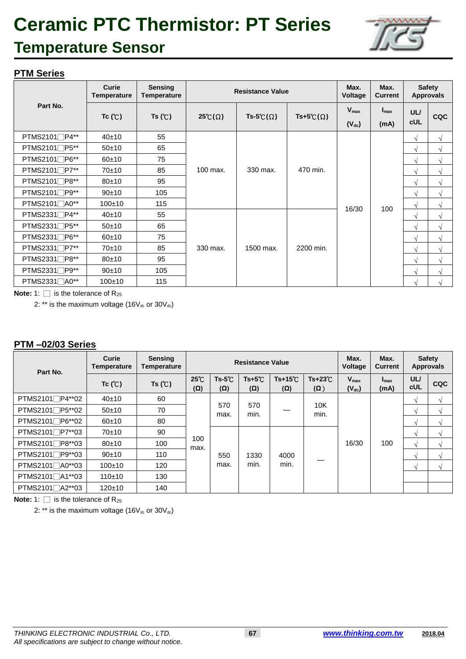### **Temperature Sensor**



### **PTM Series**

|                   | Curie<br><b>Temperature</b> | <b>Sensing</b><br>Temperature |                       | <b>Resistance Value</b> |                   | Max.<br>Voltage  | Max.<br><b>Current</b> |            | <b>Safety</b><br><b>Approvals</b> |
|-------------------|-----------------------------|-------------------------------|-----------------------|-------------------------|-------------------|------------------|------------------------|------------|-----------------------------------|
| Part No.          | Tc $(C)$                    | Ts $(C)$                      | $25^{\circ}C(\Omega)$ | Ts-5°C( $\Omega$ )      | Ts+5°C $(\Omega)$ | $V_{\text{max}}$ | $I_{\text{max}}$       | <b>UL/</b> | <b>CQC</b>                        |
|                   |                             |                               |                       |                         |                   | $(V_{dc})$       | (mA)                   | <b>cUL</b> |                                   |
| $PTMS2101$ $P4**$ | 40±10                       | 55                            |                       |                         |                   |                  |                        | $\sqrt{ }$ | $\sqrt{ }$                        |
| $PTMS2101$ $P5**$ | 50±10                       | 65                            |                       |                         |                   |                  |                        | $\sqrt{ }$ | $\mathcal{N}$                     |
| $PTMS2101$ $P6**$ | $60+10$                     | 75                            | 100 max.              |                         |                   |                  |                        | $\sqrt{ }$ | $\sqrt{ }$                        |
| PTMS2101∏P7**     | 70±10                       | 85                            |                       | 330 max.                | 470 min.          |                  |                        | $\sqrt{ }$ | $\sqrt{ }$                        |
| PTMS2101∏P8**     | $80+10$                     | 95                            |                       |                         |                   |                  |                        | $\sqrt{ }$ | $\sqrt{ }$                        |
| $PTMS2101$ $P9**$ | $90+10$                     | 105                           |                       |                         |                   |                  |                        | $\sqrt{ }$ | $\sqrt{ }$                        |
| PTMS2101∏A0**     | 100±10                      | 115                           |                       |                         |                   | 16/30            | 100                    | $\sqrt{ }$ | $\sqrt{ }$                        |
| $PTMS2331$ $P4**$ | 40±10                       | 55                            |                       |                         |                   |                  |                        | $\sqrt{ }$ | $\sqrt{ }$                        |
| PTMS2331∏P5**     | 50±10                       | 65                            |                       |                         | 2200 min.         |                  |                        | $\sqrt{ }$ | $\sqrt{ }$                        |
| PTMS2331∏P6**     | $60+10$                     | 75                            |                       |                         |                   |                  |                        | $\sqrt{ }$ | $\sqrt{ }$                        |
| PTMS2331∏P7**     | 70±10                       | 85                            | 330 max.              | 1500 max.               |                   |                  |                        | $\sqrt{ }$ | $\sqrt{ }$                        |
| $PTMS2331$ $P8**$ | $80+10$                     | 95                            |                       |                         |                   |                  |                        | $\sqrt{ }$ | $\sqrt{ }$                        |
| PTMS2331□P9**     | 90±10                       | 105                           |                       |                         |                   |                  |                        | $\sqrt{ }$ | $\sqrt{ }$                        |
| PTMS2331□A0**     | $100+10$                    | 115                           |                       |                         |                   |                  |                        | $\sqrt{ }$ | $\sim$                            |

**Note:** 1:  $\Box$  is the tolerance of  $R_{25}$ 

2: \*\* is the maximum voltage  $(16V_{dc}$  or  $30V_{dc})$ 

#### **PTM –02/03 Series**

| Part No.                     | Curie<br>Temperature | <b>Sensing</b><br>Temperature |                          |                        | Resistance Value              |                               |                               | Max.<br><b>Voltage</b>         | Max.<br><b>Current</b>   | <b>Approvals</b>  | <b>Safety</b> |  |      |      |  |  |      |               |  |
|------------------------------|----------------------|-------------------------------|--------------------------|------------------------|-------------------------------|-------------------------------|-------------------------------|--------------------------------|--------------------------|-------------------|---------------|--|------|------|--|--|------|---------------|--|
|                              | Tc $(C)$             | Ts $(C)$                      | <b>25℃</b><br>$(\Omega)$ | $Ts-5^{\circ}C$<br>(Ω) | $Ts+5^{\circ}C$<br>$(\Omega)$ | $Ts+15^{\circ}$<br>$(\Omega)$ | $Ts+23^\circ C$<br>$(\Omega)$ | $V_{\text{max}}$<br>$(V_{dc})$ | $I_{\text{max}}$<br>(mA) | UL/<br><b>cUL</b> | <b>CQC</b>    |  |      |      |  |  |      |               |  |
| PTMS2101∏P4**02              | 40±10                | 60                            |                          | 570<br>max.            |                               |                               | 10K<br>min.                   |                                |                          | $\mathcal{N}$     |               |  |      |      |  |  |      |               |  |
| PTMS2101∏P5**02              | 50±10                | 70                            |                          |                        | 570<br>min.                   |                               |                               |                                |                          | $\Delta$          |               |  |      |      |  |  |      |               |  |
| PTMS2101∏P6**02              | 60±10                | 80                            |                          |                        |                               |                               |                               | 16/30                          | 100                      | $\Delta$          |               |  |      |      |  |  |      |               |  |
| PTMS2101∏P7**03              | 70±10                | 90                            | 100<br>max.              |                        |                               |                               |                               |                                |                          | $\sim$            |               |  |      |      |  |  |      |               |  |
| PTMS2101 <sup>−</sup> P8**03 | $80+10$              | 100                           |                          |                        |                               |                               |                               |                                |                          | $\mathcal{N}$     |               |  |      |      |  |  |      |               |  |
| PTMS2101 <sup>1</sup> P9**03 | 90±10                | 110                           |                          | 550<br>max.            |                               |                               |                               |                                |                          |                   |               |  | 1330 | 4000 |  |  |      | $\mathcal{N}$ |  |
| PTMS2101 <sup>1</sup> A0**03 | $100+10$             | 120                           |                          |                        |                               |                               |                               |                                |                          |                   |               |  |      |      |  |  | min. | min.          |  |
| PTMS2101 <sup>-41**</sup> 03 | 110±10               | 130                           |                          |                        |                               |                               |                               |                                |                          |                   |               |  |      |      |  |  |      |               |  |
| PTMS2101 <sup>-42*</sup> 03  | $120+10$             | 140                           |                          |                        |                               |                               |                               |                                |                          |                   |               |  |      |      |  |  |      |               |  |

**Note:** 1:  $\Box$  is the tolerance of  $R_{25}$ 

2: \*\* is the maximum voltage (16 $V_{dc}$  or 30 $V_{dc}$ )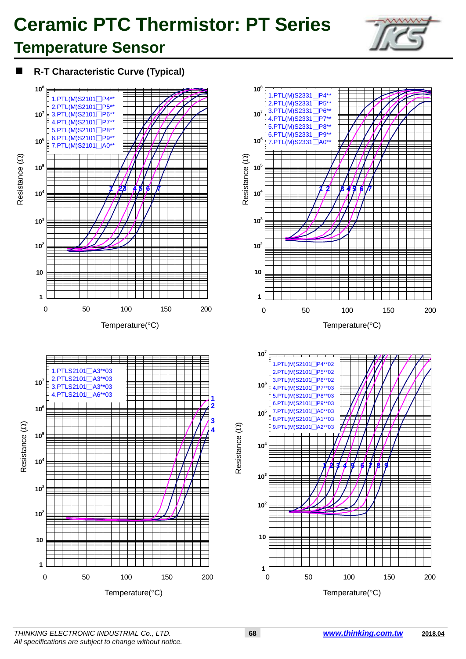### **Temperature Sensor**

**R-T Characteristic Curve (Typical)**

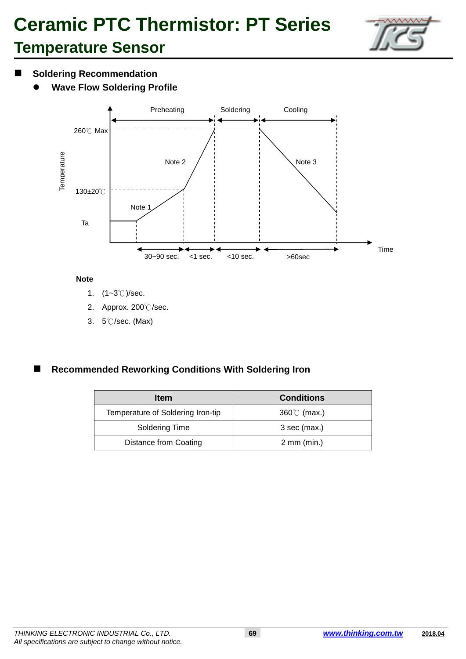

### **Temperature Sensor**

### $\blacksquare$  Soldering Recommendation

**Wave Flow Soldering Profile**



#### **Note**

- 1. (1~3℃)/sec.
- 2. Approx. 200℃/sec.
- 3. 5℃/sec. (Max)

### **Recommended Reworking Conditions With Soldering Iron**

| <b>Item</b>                       | <b>Conditions</b>     |
|-----------------------------------|-----------------------|
| Temperature of Soldering Iron-tip | $360^{\circ}$ (max.)  |
| Soldering Time                    | 3 sec (max.)          |
| <b>Distance from Coating</b>      | $2 \text{ mm (min.)}$ |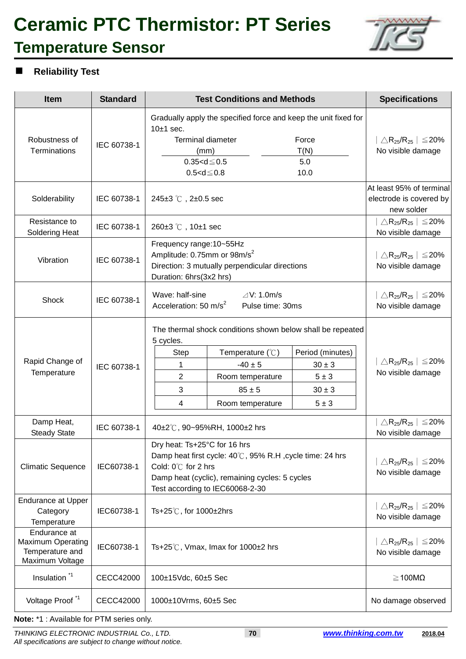## **Ceramic PTC Thermistor: PT Series Temperature Sensor**



### **Reliability Test**

| <b>Item</b>                                                                    | <b>Standard</b>  | <b>Test Conditions and Methods</b>                                                                                                                                                                                                                                                             | <b>Specifications</b>                                                                  |
|--------------------------------------------------------------------------------|------------------|------------------------------------------------------------------------------------------------------------------------------------------------------------------------------------------------------------------------------------------------------------------------------------------------|----------------------------------------------------------------------------------------|
| Robustness of<br><b>Terminations</b>                                           | IEC 60738-1      | Gradually apply the specified force and keep the unit fixed for<br>$10±1$ sec.<br><b>Terminal diameter</b><br>Force<br>T(N)<br>(mm)<br>$0.35 < d \le 0.5$<br>5.0<br>10.0<br>$0.5 < d \le 0.8$                                                                                                  | $ \triangle \mathsf{R}_{25}/\mathsf{R}_{25}  \le 20\%$<br>No visible damage            |
| Solderability                                                                  | IEC 60738-1      | 245±3 ℃, 2±0.5 sec                                                                                                                                                                                                                                                                             | At least 95% of terminal<br>electrode is covered by<br>new solder                      |
| Resistance to<br><b>Soldering Heat</b>                                         | IEC 60738-1      | 260±3 °C, 10±1 sec                                                                                                                                                                                                                                                                             | $\vert \triangle\mathsf{R}_{25}\mathsf{R}_{25}\,\vert \leq 20\%$<br>No visible damage  |
| Vibration                                                                      | IEC 60738-1      | Frequency range: 10~55Hz<br>Amplitude: 0.75mm or 98m/s <sup>2</sup><br>Direction: 3 mutually perpendicular directions<br>Duration: 6hrs(3x2 hrs)                                                                                                                                               | $ \bigtriangleup \mathsf{R}_{25} / \mathsf{R}_{25}  \leq 20\%$<br>No visible damage    |
| Shock                                                                          | IEC 60738-1      | Wave: half-sine<br>$\triangle$ V: 1.0m/s<br>Acceleration: 50 m/s <sup>2</sup><br>Pulse time: 30ms                                                                                                                                                                                              | $ \bigtriangleup \mathsf{R}_{25} / \mathsf{R}_{25}  \leq 20\%$<br>No visible damage    |
| Rapid Change of<br>Temperature                                                 | IEC 60738-1      | The thermal shock conditions shown below shall be repeated<br>5 cycles.<br>Period (minutes)<br>Temperature $(\mathcal{C})$<br>Step<br>$-40 \pm 5$<br>1<br>$30 \pm 3$<br>$\overline{2}$<br>$5 \pm 3$<br>Room temperature<br>3<br>$85 \pm 5$<br>$30 \pm 3$<br>Room temperature<br>$5 \pm 3$<br>4 | $\mid \triangle \mathsf{R}_{25} / \mathsf{R}_{25} \mid \leq 20\%$<br>No visible damage |
| Damp Heat,<br><b>Steady State</b>                                              | IEC 60738-1      | 40±2°C, 90~95%RH, 1000±2 hrs                                                                                                                                                                                                                                                                   | $\triangle$ R <sub>25</sub> /R <sub>25</sub>   $\leq$ 20%<br>No visible damage         |
| <b>Climatic Sequence</b>                                                       | IEC60738-1       | Dry heat: Ts+25°C for 16 hrs<br>Damp heat first cycle: 40°C, 95% R.H, cycle time: 24 hrs<br>Cold: $0^{\circ}$ for 2 hrs<br>Damp heat (cyclic), remaining cycles: 5 cycles<br>Test according to IEC60068-2-30                                                                                   | $ \triangle \mathsf{R}_{25} / \mathsf{R}_{25}  \leq 20\%$<br>No visible damage         |
| <b>Endurance at Upper</b><br>Category<br>Temperature                           | IEC60738-1       | Ts+25℃, for 1000±2hrs                                                                                                                                                                                                                                                                          | $\triangle$ R <sub>25</sub> /R <sub>25</sub>   $\leq$ 20%<br>No visible damage         |
| Endurance at<br><b>Maximum Operating</b><br>Temperature and<br>Maximum Voltage | IEC60738-1       | Ts+25 $\degree$ C, Vmax, Imax for 1000 $\pm$ 2 hrs                                                                                                                                                                                                                                             | $\triangle$ R <sub>25</sub> /R <sub>25</sub>   $\leq$ 20%<br>No visible damage         |
| Insulation <sup>*1</sup>                                                       | <b>CECC42000</b> | 100±15Vdc, 60±5 Sec                                                                                                                                                                                                                                                                            | $\geq$ 100M $\Omega$                                                                   |
| Voltage Proof <sup>*1</sup>                                                    | CECC42000        | 1000±10Vrms, 60±5 Sec                                                                                                                                                                                                                                                                          | No damage observed                                                                     |

**Note:** \*1 : Available for PTM series only.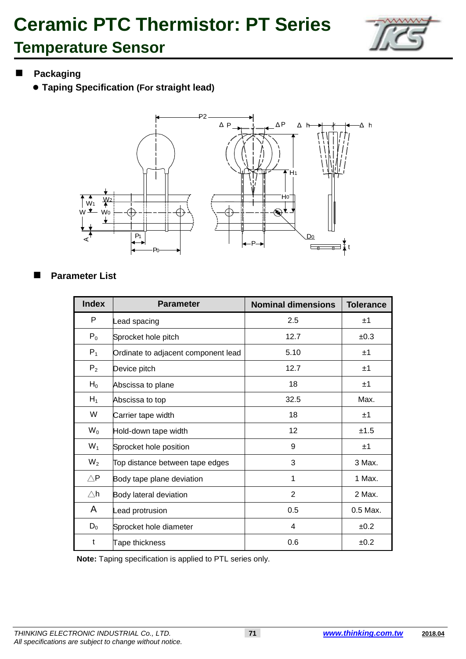### **Temperature Sensor**



### **Packaging**

**Taping Specification (For straight lead)**



### **Parameter List**

| <b>Index</b>           | <b>Parameter</b>                    | <b>Nominal dimensions</b> | <b>Tolerance</b> |
|------------------------|-------------------------------------|---------------------------|------------------|
| P                      | Lead spacing                        | 2.5                       | ±1               |
| $P_0$                  | Sprocket hole pitch                 | 12.7                      | ±0.3             |
| $P_1$                  | Ordinate to adjacent component lead | 5.10                      | ±1               |
| P <sub>2</sub>         | Device pitch                        | 12.7                      | ±1               |
| $H_0$                  | Abscissa to plane                   | 18                        | ±1               |
| $H_1$                  | Abscissa to top                     | 32.5                      | Max.             |
| W                      | Carrier tape width                  | 18                        | ±1               |
| $W_0$                  | Hold-down tape width                | 12                        | ±1.5             |
| $W_1$                  | Sprocket hole position              | 9                         | ±1               |
| $W_2$                  | Top distance between tape edges     | 3                         | 3 Max.           |
| $\triangle \mathsf{P}$ | Body tape plane deviation           | 1                         | 1 Max.           |
| $\triangle$ h          | Body lateral deviation              | $\overline{2}$            | 2 Max.           |
| A                      | Lead protrusion                     | 0.5                       | 0.5 Max.         |
| $D_0$                  | Sprocket hole diameter              | 4                         | ±0.2             |
| t                      | Tape thickness                      | 0.6                       | ±0.2             |

**Note:** Taping specification is applied to PTL series only.